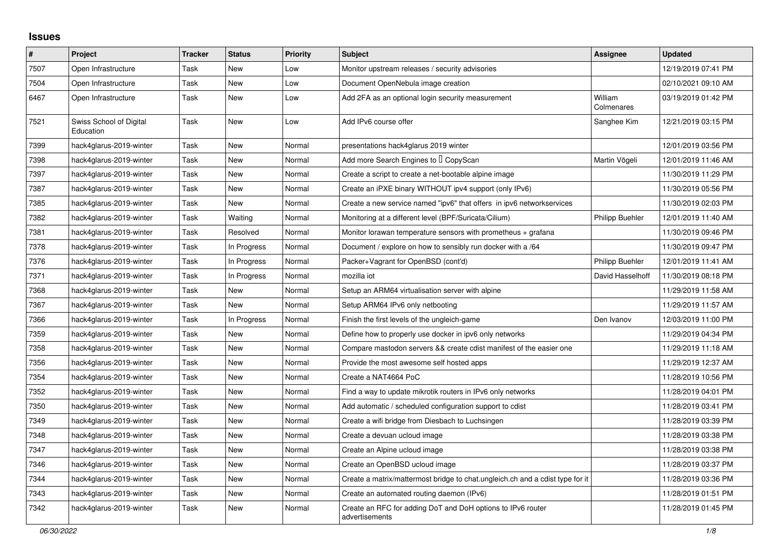## **Issues**

| $\pmb{\#}$ | Project                              | <b>Tracker</b> | <b>Status</b> | <b>Priority</b> | <b>Subject</b>                                                                | Assignee               | <b>Updated</b>      |
|------------|--------------------------------------|----------------|---------------|-----------------|-------------------------------------------------------------------------------|------------------------|---------------------|
| 7507       | Open Infrastructure                  | Task           | New           | Low             | Monitor upstream releases / security advisories                               |                        | 12/19/2019 07:41 PM |
| 7504       | Open Infrastructure                  | Task           | New           | Low             | Document OpenNebula image creation                                            |                        | 02/10/2021 09:10 AM |
| 6467       | Open Infrastructure                  | Task           | New           | Low             | Add 2FA as an optional login security measurement                             | William<br>Colmenares  | 03/19/2019 01:42 PM |
| 7521       | Swiss School of Digital<br>Education | Task           | New           | Low             | Add IPv6 course offer                                                         | Sanghee Kim            | 12/21/2019 03:15 PM |
| 7399       | hack4glarus-2019-winter              | Task           | New           | Normal          | presentations hack4glarus 2019 winter                                         |                        | 12/01/2019 03:56 PM |
| 7398       | hack4glarus-2019-winter              | Task           | <b>New</b>    | Normal          | Add more Search Engines to I CopyScan                                         | Martin Vögeli          | 12/01/2019 11:46 AM |
| 7397       | hack4glarus-2019-winter              | Task           | New           | Normal          | Create a script to create a net-bootable alpine image                         |                        | 11/30/2019 11:29 PM |
| 7387       | hack4glarus-2019-winter              | Task           | New           | Normal          | Create an iPXE binary WITHOUT ipv4 support (only IPv6)                        |                        | 11/30/2019 05:56 PM |
| 7385       | hack4glarus-2019-winter              | Task           | New           | Normal          | Create a new service named "ipv6" that offers in ipv6 networkservices         |                        | 11/30/2019 02:03 PM |
| 7382       | hack4glarus-2019-winter              | Task           | Waiting       | Normal          | Monitoring at a different level (BPF/Suricata/Cilium)                         | <b>Philipp Buehler</b> | 12/01/2019 11:40 AM |
| 7381       | hack4glarus-2019-winter              | Task           | Resolved      | Normal          | Monitor lorawan temperature sensors with prometheus $+$ grafana               |                        | 11/30/2019 09:46 PM |
| 7378       | hack4glarus-2019-winter              | Task           | In Progress   | Normal          | Document / explore on how to sensibly run docker with a /64                   |                        | 11/30/2019 09:47 PM |
| 7376       | hack4glarus-2019-winter              | Task           | In Progress   | Normal          | Packer+Vagrant for OpenBSD (cont'd)                                           | Philipp Buehler        | 12/01/2019 11:41 AM |
| 7371       | hack4glarus-2019-winter              | Task           | In Progress   | Normal          | mozilla iot                                                                   | David Hasselhoff       | 11/30/2019 08:18 PM |
| 7368       | hack4glarus-2019-winter              | Task           | New           | Normal          | Setup an ARM64 virtualisation server with alpine                              |                        | 11/29/2019 11:58 AM |
| 7367       | hack4glarus-2019-winter              | Task           | <b>New</b>    | Normal          | Setup ARM64 IPv6 only netbooting                                              |                        | 11/29/2019 11:57 AM |
| 7366       | hack4glarus-2019-winter              | Task           | In Progress   | Normal          | Finish the first levels of the ungleich-game                                  | Den Ivanov             | 12/03/2019 11:00 PM |
| 7359       | hack4glarus-2019-winter              | Task           | New           | Normal          | Define how to properly use docker in ipv6 only networks                       |                        | 11/29/2019 04:34 PM |
| 7358       | hack4glarus-2019-winter              | Task           | New           | Normal          | Compare mastodon servers && create cdist manifest of the easier one           |                        | 11/29/2019 11:18 AM |
| 7356       | hack4glarus-2019-winter              | Task           | <b>New</b>    | Normal          | Provide the most awesome self hosted apps                                     |                        | 11/29/2019 12:37 AM |
| 7354       | hack4glarus-2019-winter              | Task           | New           | Normal          | Create a NAT4664 PoC                                                          |                        | 11/28/2019 10:56 PM |
| 7352       | hack4glarus-2019-winter              | Task           | New           | Normal          | Find a way to update mikrotik routers in IPv6 only networks                   |                        | 11/28/2019 04:01 PM |
| 7350       | hack4glarus-2019-winter              | Task           | New           | Normal          | Add automatic / scheduled configuration support to cdist                      |                        | 11/28/2019 03:41 PM |
| 7349       | hack4glarus-2019-winter              | Task           | <b>New</b>    | Normal          | Create a wifi bridge from Diesbach to Luchsingen                              |                        | 11/28/2019 03:39 PM |
| 7348       | hack4glarus-2019-winter              | Task           | New           | Normal          | Create a devuan ucloud image                                                  |                        | 11/28/2019 03:38 PM |
| 7347       | hack4glarus-2019-winter              | Task           | New           | Normal          | Create an Alpine ucloud image                                                 |                        | 11/28/2019 03:38 PM |
| 7346       | hack4glarus-2019-winter              | Task           | New           | Normal          | Create an OpenBSD ucloud image                                                |                        | 11/28/2019 03:37 PM |
| 7344       | hack4glarus-2019-winter              | Task           | New           | Normal          | Create a matrix/mattermost bridge to chat.ungleich.ch and a cdist type for it |                        | 11/28/2019 03:36 PM |
| 7343       | hack4glarus-2019-winter              | Task           | New           | Normal          | Create an automated routing daemon (IPv6)                                     |                        | 11/28/2019 01:51 PM |
| 7342       | hack4glarus-2019-winter              | Task           | <b>New</b>    | Normal          | Create an RFC for adding DoT and DoH options to IPv6 router<br>advertisements |                        | 11/28/2019 01:45 PM |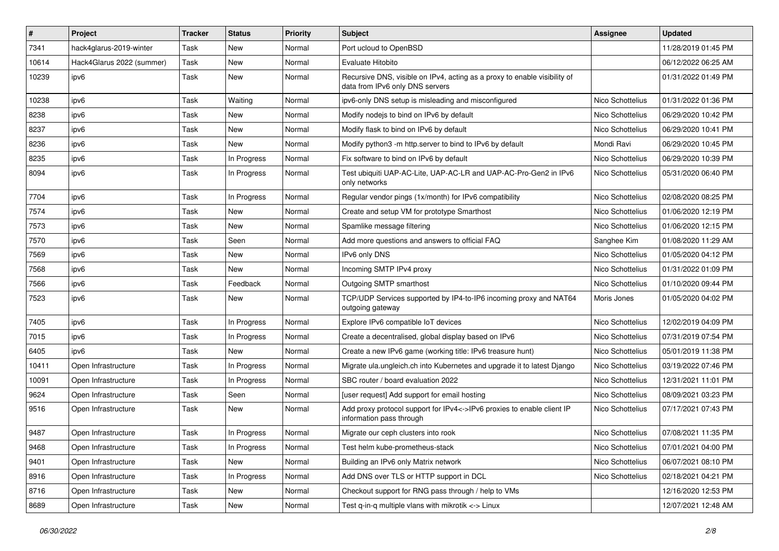| $\#$  | Project                   | <b>Tracker</b> | <b>Status</b> | <b>Priority</b> | <b>Subject</b>                                                                                               | <b>Assignee</b>  | <b>Updated</b>      |
|-------|---------------------------|----------------|---------------|-----------------|--------------------------------------------------------------------------------------------------------------|------------------|---------------------|
| 7341  | hack4glarus-2019-winter   | Task           | <b>New</b>    | Normal          | Port ucloud to OpenBSD                                                                                       |                  | 11/28/2019 01:45 PM |
| 10614 | Hack4Glarus 2022 (summer) | Task           | <b>New</b>    | Normal          | Evaluate Hitobito                                                                                            |                  | 06/12/2022 06:25 AM |
| 10239 | ipv6                      | Task           | New           | Normal          | Recursive DNS, visible on IPv4, acting as a proxy to enable visibility of<br>data from IPv6 only DNS servers |                  | 01/31/2022 01:49 PM |
| 10238 | ipv6                      | <b>Task</b>    | Waiting       | Normal          | ipv6-only DNS setup is misleading and misconfigured                                                          | Nico Schottelius | 01/31/2022 01:36 PM |
| 8238  | ipv6                      | Task           | New           | Normal          | Modify nodejs to bind on IPv6 by default                                                                     | Nico Schottelius | 06/29/2020 10:42 PM |
| 8237  | ipv6                      | Task           | <b>New</b>    | Normal          | Modify flask to bind on IPv6 by default                                                                      | Nico Schottelius | 06/29/2020 10:41 PM |
| 8236  | ipv6                      | Task           | <b>New</b>    | Normal          | Modify python3 -m http.server to bind to IPv6 by default                                                     | Mondi Ravi       | 06/29/2020 10:45 PM |
| 8235  | ipv6                      | <b>Task</b>    | In Progress   | Normal          | Fix software to bind on IPv6 by default                                                                      | Nico Schottelius | 06/29/2020 10:39 PM |
| 8094  | ipv6                      | Task           | In Progress   | Normal          | Test ubiquiti UAP-AC-Lite, UAP-AC-LR and UAP-AC-Pro-Gen2 in IPv6<br>only networks                            | Nico Schottelius | 05/31/2020 06:40 PM |
| 7704  | ipv6                      | Task           | In Progress   | Normal          | Regular vendor pings (1x/month) for IPv6 compatibility                                                       | Nico Schottelius | 02/08/2020 08:25 PM |
| 7574  | ipv6                      | Task           | <b>New</b>    | Normal          | Create and setup VM for prototype Smarthost                                                                  | Nico Schottelius | 01/06/2020 12:19 PM |
| 7573  | ipv6                      | Task           | <b>New</b>    | Normal          | Spamlike message filtering                                                                                   | Nico Schottelius | 01/06/2020 12:15 PM |
| 7570  | ipv6                      | Task           | Seen          | Normal          | Add more questions and answers to official FAQ                                                               | Sanghee Kim      | 01/08/2020 11:29 AM |
| 7569  | ipv6                      | Task           | <b>New</b>    | Normal          | IPv6 only DNS                                                                                                | Nico Schottelius | 01/05/2020 04:12 PM |
| 7568  | ipv6                      | <b>Task</b>    | <b>New</b>    | Normal          | Incoming SMTP IPv4 proxy                                                                                     | Nico Schottelius | 01/31/2022 01:09 PM |
| 7566  | ipv6                      | Task           | Feedback      | Normal          | Outgoing SMTP smarthost                                                                                      | Nico Schottelius | 01/10/2020 09:44 PM |
| 7523  | ipv6                      | Task           | New           | Normal          | TCP/UDP Services supported by IP4-to-IP6 incoming proxy and NAT64<br>outgoing gateway                        | Moris Jones      | 01/05/2020 04:02 PM |
| 7405  | ipv6                      | Task           | In Progress   | Normal          | Explore IPv6 compatible IoT devices                                                                          | Nico Schottelius | 12/02/2019 04:09 PM |
| 7015  | ipv6                      | <b>Task</b>    | In Progress   | Normal          | Create a decentralised, global display based on IPv6                                                         | Nico Schottelius | 07/31/2019 07:54 PM |
| 6405  | ipv6                      | Task           | <b>New</b>    | Normal          | Create a new IPv6 game (working title: IPv6 treasure hunt)                                                   | Nico Schottelius | 05/01/2019 11:38 PM |
| 10411 | Open Infrastructure       | Task           | In Progress   | Normal          | Migrate ula.ungleich.ch into Kubernetes and upgrade it to latest Django                                      | Nico Schottelius | 03/19/2022 07:46 PM |
| 10091 | Open Infrastructure       | Task           | In Progress   | Normal          | SBC router / board evaluation 2022                                                                           | Nico Schottelius | 12/31/2021 11:01 PM |
| 9624  | Open Infrastructure       | Task           | Seen          | Normal          | [user request] Add support for email hosting                                                                 | Nico Schottelius | 08/09/2021 03:23 PM |
| 9516  | Open Infrastructure       | Task           | New           | Normal          | Add proxy protocol support for IPv4<->IPv6 proxies to enable client IP<br>information pass through           | Nico Schottelius | 07/17/2021 07:43 PM |
| 9487  | Open Infrastructure       | <b>Task</b>    | In Progress   | Normal          | Migrate our ceph clusters into rook                                                                          | Nico Schottelius | 07/08/2021 11:35 PM |
| 9468  | Open Infrastructure       | Task           | In Progress   | Normal          | Test helm kube-prometheus-stack                                                                              | Nico Schottelius | 07/01/2021 04:00 PM |
| 9401  | Open Infrastructure       | Task           | New           | Normal          | Building an IPv6 only Matrix network                                                                         | Nico Schottelius | 06/07/2021 08:10 PM |
| 8916  | Open Infrastructure       | Task           | In Progress   | Normal          | Add DNS over TLS or HTTP support in DCL                                                                      | Nico Schottelius | 02/18/2021 04:21 PM |
| 8716  | Open Infrastructure       | Task           | New           | Normal          | Checkout support for RNG pass through / help to VMs                                                          |                  | 12/16/2020 12:53 PM |
| 8689  | Open Infrastructure       | Task           | New           | Normal          | Test q-in-q multiple vlans with mikrotik <-> Linux                                                           |                  | 12/07/2021 12:48 AM |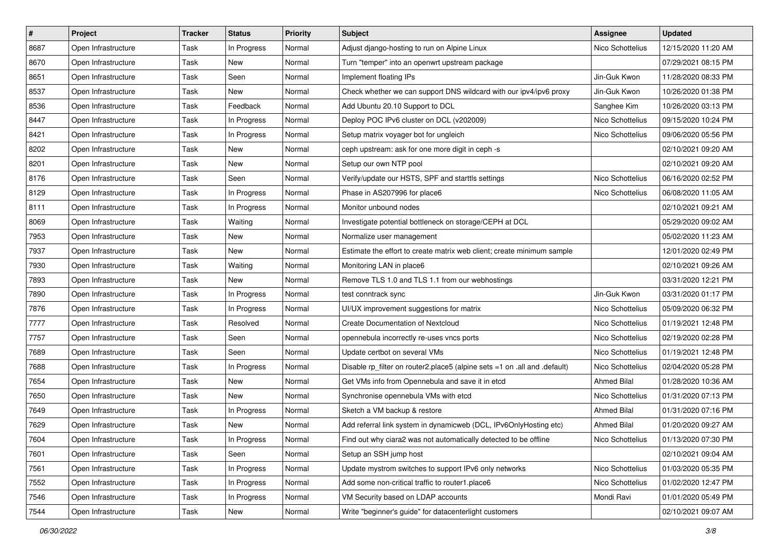| $\vert$ # | Project             | <b>Tracker</b> | <b>Status</b> | <b>Priority</b> | <b>Subject</b>                                                            | <b>Assignee</b>    | <b>Updated</b>      |
|-----------|---------------------|----------------|---------------|-----------------|---------------------------------------------------------------------------|--------------------|---------------------|
| 8687      | Open Infrastructure | Task           | In Progress   | Normal          | Adjust django-hosting to run on Alpine Linux                              | Nico Schottelius   | 12/15/2020 11:20 AM |
| 8670      | Open Infrastructure | Task           | New           | Normal          | Turn "temper" into an openwrt upstream package                            |                    | 07/29/2021 08:15 PM |
| 8651      | Open Infrastructure | Task           | Seen          | Normal          | Implement floating IPs                                                    | Jin-Guk Kwon       | 11/28/2020 08:33 PM |
| 8537      | Open Infrastructure | Task           | New           | Normal          | Check whether we can support DNS wildcard with our ipv4/ipv6 proxy        | Jin-Guk Kwon       | 10/26/2020 01:38 PM |
| 8536      | Open Infrastructure | Task           | Feedback      | Normal          | Add Ubuntu 20.10 Support to DCL                                           | Sanghee Kim        | 10/26/2020 03:13 PM |
| 8447      | Open Infrastructure | Task           | In Progress   | Normal          | Deploy POC IPv6 cluster on DCL (v202009)                                  | Nico Schottelius   | 09/15/2020 10:24 PM |
| 8421      | Open Infrastructure | Task           | In Progress   | Normal          | Setup matrix voyager bot for ungleich                                     | Nico Schottelius   | 09/06/2020 05:56 PM |
| 8202      | Open Infrastructure | Task           | <b>New</b>    | Normal          | ceph upstream: ask for one more digit in ceph -s                          |                    | 02/10/2021 09:20 AM |
| 8201      | Open Infrastructure | Task           | New           | Normal          | Setup our own NTP pool                                                    |                    | 02/10/2021 09:20 AM |
| 8176      | Open Infrastructure | Task           | Seen          | Normal          | Verify/update our HSTS, SPF and starttls settings                         | Nico Schottelius   | 06/16/2020 02:52 PM |
| 8129      | Open Infrastructure | Task           | In Progress   | Normal          | Phase in AS207996 for place6                                              | Nico Schottelius   | 06/08/2020 11:05 AM |
| 8111      | Open Infrastructure | Task           | In Progress   | Normal          | Monitor unbound nodes                                                     |                    | 02/10/2021 09:21 AM |
| 8069      | Open Infrastructure | Task           | Waiting       | Normal          | Investigate potential bottleneck on storage/CEPH at DCL                   |                    | 05/29/2020 09:02 AM |
| 7953      | Open Infrastructure | Task           | New           | Normal          | Normalize user management                                                 |                    | 05/02/2020 11:23 AM |
| 7937      | Open Infrastructure | Task           | New           | Normal          | Estimate the effort to create matrix web client; create minimum sample    |                    | 12/01/2020 02:49 PM |
| 7930      | Open Infrastructure | Task           | Waiting       | Normal          | Monitoring LAN in place6                                                  |                    | 02/10/2021 09:26 AM |
| 7893      | Open Infrastructure | Task           | New           | Normal          | Remove TLS 1.0 and TLS 1.1 from our webhostings                           |                    | 03/31/2020 12:21 PM |
| 7890      | Open Infrastructure | Task           | In Progress   | Normal          | test conntrack sync                                                       | Jin-Guk Kwon       | 03/31/2020 01:17 PM |
| 7876      | Open Infrastructure | Task           | In Progress   | Normal          | UI/UX improvement suggestions for matrix                                  | Nico Schottelius   | 05/09/2020 06:32 PM |
| 7777      | Open Infrastructure | Task           | Resolved      | Normal          | Create Documentation of Nextcloud                                         | Nico Schottelius   | 01/19/2021 12:48 PM |
| 7757      | Open Infrastructure | Task           | Seen          | Normal          | opennebula incorrectly re-uses vncs ports                                 | Nico Schottelius   | 02/19/2020 02:28 PM |
| 7689      | Open Infrastructure | Task           | Seen          | Normal          | Update certbot on several VMs                                             | Nico Schottelius   | 01/19/2021 12:48 PM |
| 7688      | Open Infrastructure | Task           | In Progress   | Normal          | Disable rp_filter on router2.place5 (alpine sets =1 on .all and .default) | Nico Schottelius   | 02/04/2020 05:28 PM |
| 7654      | Open Infrastructure | Task           | New           | Normal          | Get VMs info from Opennebula and save it in etcd                          | <b>Ahmed Bilal</b> | 01/28/2020 10:36 AM |
| 7650      | Open Infrastructure | Task           | New           | Normal          | Synchronise opennebula VMs with etcd                                      | Nico Schottelius   | 01/31/2020 07:13 PM |
| 7649      | Open Infrastructure | Task           | In Progress   | Normal          | Sketch a VM backup & restore                                              | <b>Ahmed Bilal</b> | 01/31/2020 07:16 PM |
| 7629      | Open Infrastructure | Task           | New           | Normal          | Add referral link system in dynamicweb (DCL, IPv6OnlyHosting etc)         | Ahmed Bilal        | 01/20/2020 09:27 AM |
| 7604      | Open Infrastructure | Task           | In Progress   | Normal          | Find out why ciara2 was not automatically detected to be offline          | Nico Schottelius   | 01/13/2020 07:30 PM |
| 7601      | Open Infrastructure | Task           | Seen          | Normal          | Setup an SSH jump host                                                    |                    | 02/10/2021 09:04 AM |
| 7561      | Open Infrastructure | Task           | In Progress   | Normal          | Update mystrom switches to support IPv6 only networks                     | Nico Schottelius   | 01/03/2020 05:35 PM |
| 7552      | Open Infrastructure | Task           | In Progress   | Normal          | Add some non-critical traffic to router1.place6                           | Nico Schottelius   | 01/02/2020 12:47 PM |
| 7546      | Open Infrastructure | Task           | In Progress   | Normal          | VM Security based on LDAP accounts                                        | Mondi Ravi         | 01/01/2020 05:49 PM |
| 7544      | Open Infrastructure | Task           | New           | Normal          | Write "beginner's guide" for datacenterlight customers                    |                    | 02/10/2021 09:07 AM |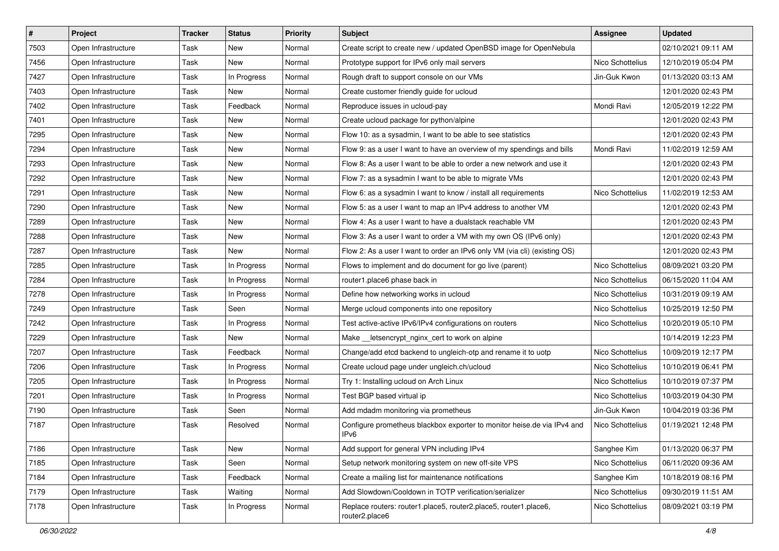| $\vert$ # | Project             | <b>Tracker</b> | <b>Status</b> | <b>Priority</b> | Subject                                                                                     | Assignee         | <b>Updated</b>      |
|-----------|---------------------|----------------|---------------|-----------------|---------------------------------------------------------------------------------------------|------------------|---------------------|
| 7503      | Open Infrastructure | Task           | New           | Normal          | Create script to create new / updated OpenBSD image for OpenNebula                          |                  | 02/10/2021 09:11 AM |
| 7456      | Open Infrastructure | Task           | New           | Normal          | Prototype support for IPv6 only mail servers                                                | Nico Schottelius | 12/10/2019 05:04 PM |
| 7427      | Open Infrastructure | Task           | In Progress   | Normal          | Rough draft to support console on our VMs                                                   | Jin-Guk Kwon     | 01/13/2020 03:13 AM |
| 7403      | Open Infrastructure | Task           | New           | Normal          | Create customer friendly guide for ucloud                                                   |                  | 12/01/2020 02:43 PM |
| 7402      | Open Infrastructure | Task           | Feedback      | Normal          | Reproduce issues in ucloud-pay                                                              | Mondi Ravi       | 12/05/2019 12:22 PM |
| 7401      | Open Infrastructure | Task           | New           | Normal          | Create ucloud package for python/alpine                                                     |                  | 12/01/2020 02:43 PM |
| 7295      | Open Infrastructure | Task           | <b>New</b>    | Normal          | Flow 10: as a sysadmin, I want to be able to see statistics                                 |                  | 12/01/2020 02:43 PM |
| 7294      | Open Infrastructure | Task           | <b>New</b>    | Normal          | Flow 9: as a user I want to have an overview of my spendings and bills                      | Mondi Ravi       | 11/02/2019 12:59 AM |
| 7293      | Open Infrastructure | Task           | New           | Normal          | Flow 8: As a user I want to be able to order a new network and use it                       |                  | 12/01/2020 02:43 PM |
| 7292      | Open Infrastructure | Task           | <b>New</b>    | Normal          | Flow 7: as a sysadmin I want to be able to migrate VMs                                      |                  | 12/01/2020 02:43 PM |
| 7291      | Open Infrastructure | Task           | New           | Normal          | Flow 6: as a sysadmin I want to know / install all requirements                             | Nico Schottelius | 11/02/2019 12:53 AM |
| 7290      | Open Infrastructure | Task           | New           | Normal          | Flow 5: as a user I want to map an IPv4 address to another VM                               |                  | 12/01/2020 02:43 PM |
| 7289      | Open Infrastructure | Task           | New           | Normal          | Flow 4: As a user I want to have a dualstack reachable VM                                   |                  | 12/01/2020 02:43 PM |
| 7288      | Open Infrastructure | Task           | New           | Normal          | Flow 3: As a user I want to order a VM with my own OS (IPv6 only)                           |                  | 12/01/2020 02:43 PM |
| 7287      | Open Infrastructure | Task           | New           | Normal          | Flow 2: As a user I want to order an IPv6 only VM (via cli) (existing OS)                   |                  | 12/01/2020 02:43 PM |
| 7285      | Open Infrastructure | Task           | In Progress   | Normal          | Flows to implement and do document for go live (parent)                                     | Nico Schottelius | 08/09/2021 03:20 PM |
| 7284      | Open Infrastructure | Task           | In Progress   | Normal          | router1.place6 phase back in                                                                | Nico Schottelius | 06/15/2020 11:04 AM |
| 7278      | Open Infrastructure | Task           | In Progress   | Normal          | Define how networking works in ucloud                                                       | Nico Schottelius | 10/31/2019 09:19 AM |
| 7249      | Open Infrastructure | Task           | Seen          | Normal          | Merge ucloud components into one repository                                                 | Nico Schottelius | 10/25/2019 12:50 PM |
| 7242      | Open Infrastructure | Task           | In Progress   | Normal          | Test active-active IPv6/IPv4 configurations on routers                                      | Nico Schottelius | 10/20/2019 05:10 PM |
| 7229      | Open Infrastructure | Task           | <b>New</b>    | Normal          | Make __ letsencrypt_nginx_cert to work on alpine                                            |                  | 10/14/2019 12:23 PM |
| 7207      | Open Infrastructure | Task           | Feedback      | Normal          | Change/add etcd backend to ungleich-otp and rename it to uotp                               | Nico Schottelius | 10/09/2019 12:17 PM |
| 7206      | Open Infrastructure | Task           | In Progress   | Normal          | Create ucloud page under ungleich.ch/ucloud                                                 | Nico Schottelius | 10/10/2019 06:41 PM |
| 7205      | Open Infrastructure | Task           | In Progress   | Normal          | Try 1: Installing ucloud on Arch Linux                                                      | Nico Schottelius | 10/10/2019 07:37 PM |
| 7201      | Open Infrastructure | Task           | In Progress   | Normal          | Test BGP based virtual ip                                                                   | Nico Schottelius | 10/03/2019 04:30 PM |
| 7190      | Open Infrastructure | Task           | Seen          | Normal          | Add mdadm monitoring via prometheus                                                         | Jin-Guk Kwon     | 10/04/2019 03:36 PM |
| 7187      | Open Infrastructure | Task           | Resolved      | Normal          | Configure prometheus blackbox exporter to monitor heise.de via IPv4 and<br>IP <sub>v6</sub> | Nico Schottelius | 01/19/2021 12:48 PM |
| 7186      | Open Infrastructure | Task           | New           | Normal          | Add support for general VPN including IPv4                                                  | Sanghee Kim      | 01/13/2020 06:37 PM |
| 7185      | Open Infrastructure | Task           | Seen          | Normal          | Setup network monitoring system on new off-site VPS                                         | Nico Schottelius | 06/11/2020 09:36 AM |
| 7184      | Open Infrastructure | Task           | Feedback      | Normal          | Create a mailing list for maintenance notifications                                         | Sanghee Kim      | 10/18/2019 08:16 PM |
| 7179      | Open Infrastructure | Task           | Waiting       | Normal          | Add Slowdown/Cooldown in TOTP verification/serializer                                       | Nico Schottelius | 09/30/2019 11:51 AM |
| 7178      | Open Infrastructure | Task           | In Progress   | Normal          | Replace routers: router1.place5, router2.place5, router1.place6,<br>router2.place6          | Nico Schottelius | 08/09/2021 03:19 PM |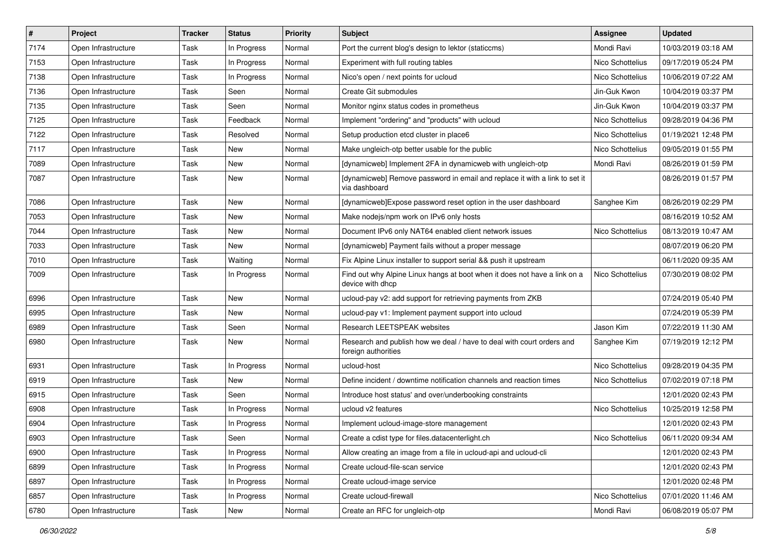| $\vert$ # | Project             | <b>Tracker</b> | <b>Status</b> | <b>Priority</b> | Subject                                                                                       | <b>Assignee</b>  | <b>Updated</b>      |
|-----------|---------------------|----------------|---------------|-----------------|-----------------------------------------------------------------------------------------------|------------------|---------------------|
| 7174      | Open Infrastructure | Task           | In Progress   | Normal          | Port the current blog's design to lektor (staticcms)                                          | Mondi Ravi       | 10/03/2019 03:18 AM |
| 7153      | Open Infrastructure | Task           | In Progress   | Normal          | Experiment with full routing tables                                                           | Nico Schottelius | 09/17/2019 05:24 PM |
| 7138      | Open Infrastructure | Task           | In Progress   | Normal          | Nico's open / next points for ucloud                                                          | Nico Schottelius | 10/06/2019 07:22 AM |
| 7136      | Open Infrastructure | Task           | Seen          | Normal          | Create Git submodules                                                                         | Jin-Guk Kwon     | 10/04/2019 03:37 PM |
| 7135      | Open Infrastructure | Task           | Seen          | Normal          | Monitor nginx status codes in prometheus                                                      | Jin-Guk Kwon     | 10/04/2019 03:37 PM |
| 7125      | Open Infrastructure | Task           | Feedback      | Normal          | Implement "ordering" and "products" with ucloud                                               | Nico Schottelius | 09/28/2019 04:36 PM |
| 7122      | Open Infrastructure | Task           | Resolved      | Normal          | Setup production etcd cluster in place6                                                       | Nico Schottelius | 01/19/2021 12:48 PM |
| 7117      | Open Infrastructure | Task           | New           | Normal          | Make ungleich-otp better usable for the public                                                | Nico Schottelius | 09/05/2019 01:55 PM |
| 7089      | Open Infrastructure | Task           | New           | Normal          | [dynamicweb] Implement 2FA in dynamicweb with ungleich-otp                                    | Mondi Ravi       | 08/26/2019 01:59 PM |
| 7087      | Open Infrastructure | Task           | New           | Normal          | [dynamicweb] Remove password in email and replace it with a link to set it<br>via dashboard   |                  | 08/26/2019 01:57 PM |
| 7086      | Open Infrastructure | Task           | New           | Normal          | [dynamicweb]Expose password reset option in the user dashboard                                | Sanghee Kim      | 08/26/2019 02:29 PM |
| 7053      | Open Infrastructure | Task           | New           | Normal          | Make nodejs/npm work on IPv6 only hosts                                                       |                  | 08/16/2019 10:52 AM |
| 7044      | Open Infrastructure | Task           | New           | Normal          | Document IPv6 only NAT64 enabled client network issues                                        | Nico Schottelius | 08/13/2019 10:47 AM |
| 7033      | Open Infrastructure | Task           | <b>New</b>    | Normal          | [dynamicweb] Payment fails without a proper message                                           |                  | 08/07/2019 06:20 PM |
| 7010      | Open Infrastructure | Task           | Waiting       | Normal          | Fix Alpine Linux installer to support serial && push it upstream                              |                  | 06/11/2020 09:35 AM |
| 7009      | Open Infrastructure | Task           | In Progress   | Normal          | Find out why Alpine Linux hangs at boot when it does not have a link on a<br>device with dhcp | Nico Schottelius | 07/30/2019 08:02 PM |
| 6996      | Open Infrastructure | Task           | New           | Normal          | ucloud-pay v2: add support for retrieving payments from ZKB                                   |                  | 07/24/2019 05:40 PM |
| 6995      | Open Infrastructure | Task           | New           | Normal          | ucloud-pay v1: Implement payment support into ucloud                                          |                  | 07/24/2019 05:39 PM |
| 6989      | Open Infrastructure | Task           | Seen          | Normal          | Research LEETSPEAK websites                                                                   | Jason Kim        | 07/22/2019 11:30 AM |
| 6980      | Open Infrastructure | Task           | New           | Normal          | Research and publish how we deal / have to deal with court orders and<br>foreign authorities  | Sanghee Kim      | 07/19/2019 12:12 PM |
| 6931      | Open Infrastructure | Task           | In Progress   | Normal          | ucloud-host                                                                                   | Nico Schottelius | 09/28/2019 04:35 PM |
| 6919      | Open Infrastructure | Task           | <b>New</b>    | Normal          | Define incident / downtime notification channels and reaction times                           | Nico Schottelius | 07/02/2019 07:18 PM |
| 6915      | Open Infrastructure | Task           | Seen          | Normal          | Introduce host status' and over/underbooking constraints                                      |                  | 12/01/2020 02:43 PM |
| 6908      | Open Infrastructure | Task           | In Progress   | Normal          | ucloud v2 features                                                                            | Nico Schottelius | 10/25/2019 12:58 PM |
| 6904      | Open Infrastructure | Task           | In Progress   | Normal          | Implement ucloud-image-store management                                                       |                  | 12/01/2020 02:43 PM |
| 6903      | Open Infrastructure | Task           | Seen          | Normal          | Create a cdist type for files.datacenterlight.ch                                              | Nico Schottelius | 06/11/2020 09:34 AM |
| 6900      | Open Infrastructure | Task           | In Progress   | Normal          | Allow creating an image from a file in ucloud-api and ucloud-cli                              |                  | 12/01/2020 02:43 PM |
| 6899      | Open Infrastructure | Task           | In Progress   | Normal          | Create ucloud-file-scan service                                                               |                  | 12/01/2020 02:43 PM |
| 6897      | Open Infrastructure | Task           | In Progress   | Normal          | Create ucloud-image service                                                                   |                  | 12/01/2020 02:48 PM |
| 6857      | Open Infrastructure | Task           | In Progress   | Normal          | Create ucloud-firewall                                                                        | Nico Schottelius | 07/01/2020 11:46 AM |
| 6780      | Open Infrastructure | Task           | New           | Normal          | Create an RFC for ungleich-otp                                                                | Mondi Ravi       | 06/08/2019 05:07 PM |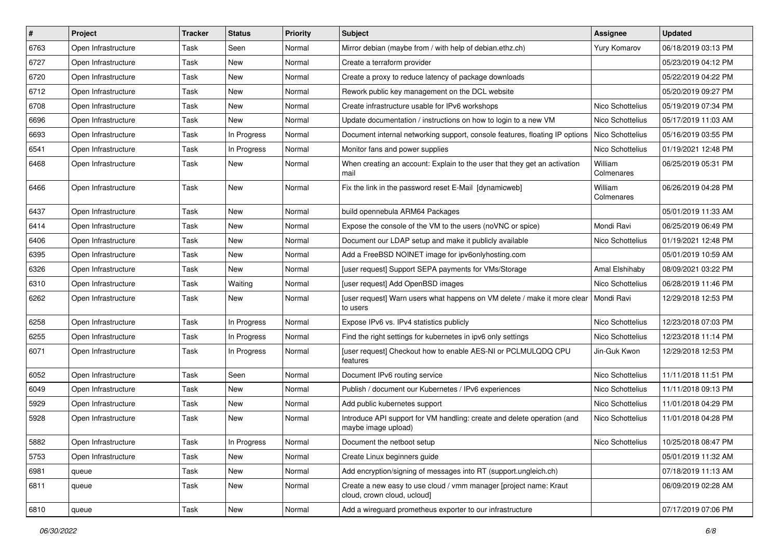| $\vert$ # | Project             | <b>Tracker</b> | <b>Status</b> | <b>Priority</b> | Subject                                                                                           | <b>Assignee</b>       | <b>Updated</b>      |
|-----------|---------------------|----------------|---------------|-----------------|---------------------------------------------------------------------------------------------------|-----------------------|---------------------|
| 6763      | Open Infrastructure | Task           | Seen          | Normal          | Mirror debian (maybe from / with help of debian.ethz.ch)                                          | Yury Komarov          | 06/18/2019 03:13 PM |
| 6727      | Open Infrastructure | Task           | New           | Normal          | Create a terraform provider                                                                       |                       | 05/23/2019 04:12 PM |
| 6720      | Open Infrastructure | Task           | New           | Normal          | Create a proxy to reduce latency of package downloads                                             |                       | 05/22/2019 04:22 PM |
| 6712      | Open Infrastructure | Task           | New           | Normal          | Rework public key management on the DCL website                                                   |                       | 05/20/2019 09:27 PM |
| 6708      | Open Infrastructure | Task           | New           | Normal          | Create infrastructure usable for IPv6 workshops                                                   | Nico Schottelius      | 05/19/2019 07:34 PM |
| 6696      | Open Infrastructure | Task           | New           | Normal          | Update documentation / instructions on how to login to a new VM                                   | Nico Schottelius      | 05/17/2019 11:03 AM |
| 6693      | Open Infrastructure | Task           | In Progress   | Normal          | Document internal networking support, console features, floating IP options                       | Nico Schottelius      | 05/16/2019 03:55 PM |
| 6541      | Open Infrastructure | Task           | In Progress   | Normal          | Monitor fans and power supplies                                                                   | Nico Schottelius      | 01/19/2021 12:48 PM |
| 6468      | Open Infrastructure | Task           | New           | Normal          | When creating an account: Explain to the user that they get an activation<br>mail                 | William<br>Colmenares | 06/25/2019 05:31 PM |
| 6466      | Open Infrastructure | Task           | New           | Normal          | Fix the link in the password reset E-Mail [dynamicweb]                                            | William<br>Colmenares | 06/26/2019 04:28 PM |
| 6437      | Open Infrastructure | Task           | New           | Normal          | build opennebula ARM64 Packages                                                                   |                       | 05/01/2019 11:33 AM |
| 6414      | Open Infrastructure | Task           | New           | Normal          | Expose the console of the VM to the users (noVNC or spice)                                        | Mondi Ravi            | 06/25/2019 06:49 PM |
| 6406      | Open Infrastructure | Task           | New           | Normal          | Document our LDAP setup and make it publicly available                                            | Nico Schottelius      | 01/19/2021 12:48 PM |
| 6395      | Open Infrastructure | Task           | New           | Normal          | Add a FreeBSD NOINET image for ipv6onlyhosting.com                                                |                       | 05/01/2019 10:59 AM |
| 6326      | Open Infrastructure | Task           | <b>New</b>    | Normal          | [user request] Support SEPA payments for VMs/Storage                                              | Amal Elshihaby        | 08/09/2021 03:22 PM |
| 6310      | Open Infrastructure | Task           | Waiting       | Normal          | [user request] Add OpenBSD images                                                                 | Nico Schottelius      | 06/28/2019 11:46 PM |
| 6262      | Open Infrastructure | Task           | New           | Normal          | [user request] Warn users what happens on VM delete / make it more clear   Mondi Ravi<br>to users |                       | 12/29/2018 12:53 PM |
| 6258      | Open Infrastructure | Task           | In Progress   | Normal          | Expose IPv6 vs. IPv4 statistics publicly                                                          | Nico Schottelius      | 12/23/2018 07:03 PM |
| 6255      | Open Infrastructure | Task           | In Progress   | Normal          | Find the right settings for kubernetes in ipv6 only settings                                      | Nico Schottelius      | 12/23/2018 11:14 PM |
| 6071      | Open Infrastructure | Task           | In Progress   | Normal          | [user request] Checkout how to enable AES-NI or PCLMULQDQ CPU<br>features                         | Jin-Guk Kwon          | 12/29/2018 12:53 PM |
| 6052      | Open Infrastructure | Task           | Seen          | Normal          | Document IPv6 routing service                                                                     | Nico Schottelius      | 11/11/2018 11:51 PM |
| 6049      | Open Infrastructure | Task           | New           | Normal          | Publish / document our Kubernetes / IPv6 experiences                                              | Nico Schottelius      | 11/11/2018 09:13 PM |
| 5929      | Open Infrastructure | Task           | New           | Normal          | Add public kubernetes support                                                                     | Nico Schottelius      | 11/01/2018 04:29 PM |
| 5928      | Open Infrastructure | Task           | New           | Normal          | Introduce API support for VM handling: create and delete operation (and<br>maybe image upload)    | Nico Schottelius      | 11/01/2018 04:28 PM |
| 5882      | Open Infrastructure | Task           | In Progress   | Normal          | Document the netboot setup                                                                        | Nico Schottelius      | 10/25/2018 08:47 PM |
| 5753      | Open Infrastructure | Task           | New           | Normal          | Create Linux beginners guide                                                                      |                       | 05/01/2019 11:32 AM |
| 6981      | queue               | Task           | <b>New</b>    | Normal          | Add encryption/signing of messages into RT (support.ungleich.ch)                                  |                       | 07/18/2019 11:13 AM |
| 6811      | queue               | Task           | New           | Normal          | Create a new easy to use cloud / vmm manager [project name: Kraut<br>cloud, crown cloud, ucloud]  |                       | 06/09/2019 02:28 AM |
| 6810      | queue               | Task           | New           | Normal          | Add a wireguard prometheus exporter to our infrastructure                                         |                       | 07/17/2019 07:06 PM |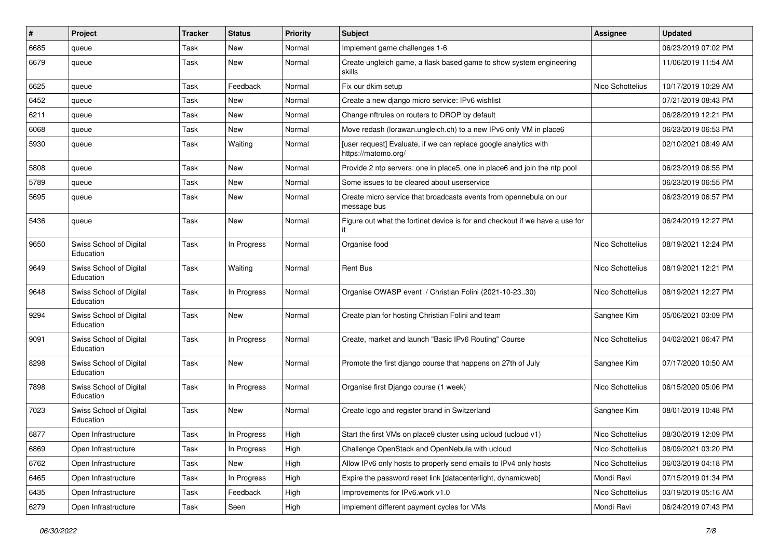| $\vert$ # | Project                              | <b>Tracker</b> | <b>Status</b> | <b>Priority</b> | <b>Subject</b>                                                                          | <b>Assignee</b>  | <b>Updated</b>      |
|-----------|--------------------------------------|----------------|---------------|-----------------|-----------------------------------------------------------------------------------------|------------------|---------------------|
| 6685      | queue                                | Task           | New           | Normal          | Implement game challenges 1-6                                                           |                  | 06/23/2019 07:02 PM |
| 6679      | queue                                | Task           | New           | Normal          | Create ungleich game, a flask based game to show system engineering<br>skills           |                  | 11/06/2019 11:54 AM |
| 6625      | queue                                | Task           | Feedback      | Normal          | Fix our dkim setup                                                                      | Nico Schottelius | 10/17/2019 10:29 AM |
| 6452      | queue                                | Task           | New           | Normal          | Create a new django micro service: IPv6 wishlist                                        |                  | 07/21/2019 08:43 PM |
| 6211      | queue                                | Task           | New           | Normal          | Change nftrules on routers to DROP by default                                           |                  | 06/28/2019 12:21 PM |
| 6068      | queue                                | Task           | New           | Normal          | Move redash (lorawan.ungleich.ch) to a new IPv6 only VM in place6                       |                  | 06/23/2019 06:53 PM |
| 5930      | queue                                | Task           | Waiting       | Normal          | [user request] Evaluate, if we can replace google analytics with<br>https://matomo.org/ |                  | 02/10/2021 08:49 AM |
| 5808      | queue                                | Task           | <b>New</b>    | Normal          | Provide 2 ntp servers: one in place5, one in place6 and join the ntp pool               |                  | 06/23/2019 06:55 PM |
| 5789      | queue                                | Task           | New           | Normal          | Some issues to be cleared about userservice                                             |                  | 06/23/2019 06:55 PM |
| 5695      | queue                                | Task           | New           | Normal          | Create micro service that broadcasts events from opennebula on our<br>message bus       |                  | 06/23/2019 06:57 PM |
| 5436      | queue                                | Task           | <b>New</b>    | Normal          | Figure out what the fortinet device is for and checkout if we have a use for            |                  | 06/24/2019 12:27 PM |
| 9650      | Swiss School of Digital<br>Education | Task           | In Progress   | Normal          | Organise food                                                                           | Nico Schottelius | 08/19/2021 12:24 PM |
| 9649      | Swiss School of Digital<br>Education | Task           | Waiting       | Normal          | <b>Rent Bus</b>                                                                         | Nico Schottelius | 08/19/2021 12:21 PM |
| 9648      | Swiss School of Digital<br>Education | Task           | In Progress   | Normal          | Organise OWASP event / Christian Folini (2021-10-2330)                                  | Nico Schottelius | 08/19/2021 12:27 PM |
| 9294      | Swiss School of Digital<br>Education | Task           | <b>New</b>    | Normal          | Create plan for hosting Christian Folini and team                                       | Sanghee Kim      | 05/06/2021 03:09 PM |
| 9091      | Swiss School of Digital<br>Education | Task           | In Progress   | Normal          | Create, market and launch "Basic IPv6 Routing" Course                                   | Nico Schottelius | 04/02/2021 06:47 PM |
| 8298      | Swiss School of Digital<br>Education | Task           | New           | Normal          | Promote the first django course that happens on 27th of July                            | Sanghee Kim      | 07/17/2020 10:50 AM |
| 7898      | Swiss School of Digital<br>Education | Task           | In Progress   | Normal          | Organise first Django course (1 week)                                                   | Nico Schottelius | 06/15/2020 05:06 PM |
| 7023      | Swiss School of Digital<br>Education | Task           | <b>New</b>    | Normal          | Create logo and register brand in Switzerland                                           | Sanghee Kim      | 08/01/2019 10:48 PM |
| 6877      | Open Infrastructure                  | Task           | In Progress   | High            | Start the first VMs on place9 cluster using ucloud (ucloud v1)                          | Nico Schottelius | 08/30/2019 12:09 PM |
| 6869      | Open Infrastructure                  | Task           | In Progress   | High            | Challenge OpenStack and OpenNebula with ucloud                                          | Nico Schottelius | 08/09/2021 03:20 PM |
| 6762      | Open Infrastructure                  | Task           | New           | High            | Allow IPv6 only hosts to properly send emails to IPv4 only hosts                        | Nico Schottelius | 06/03/2019 04:18 PM |
| 6465      | Open Infrastructure                  | Task           | In Progress   | High            | Expire the password reset link [datacenterlight, dynamicweb]                            | Mondi Ravi       | 07/15/2019 01:34 PM |
| 6435      | Open Infrastructure                  | Task           | Feedback      | High            | Improvements for IPv6.work v1.0                                                         | Nico Schottelius | 03/19/2019 05:16 AM |
| 6279      | Open Infrastructure                  | Task           | Seen          | High            | Implement different payment cycles for VMs                                              | Mondi Ravi       | 06/24/2019 07:43 PM |